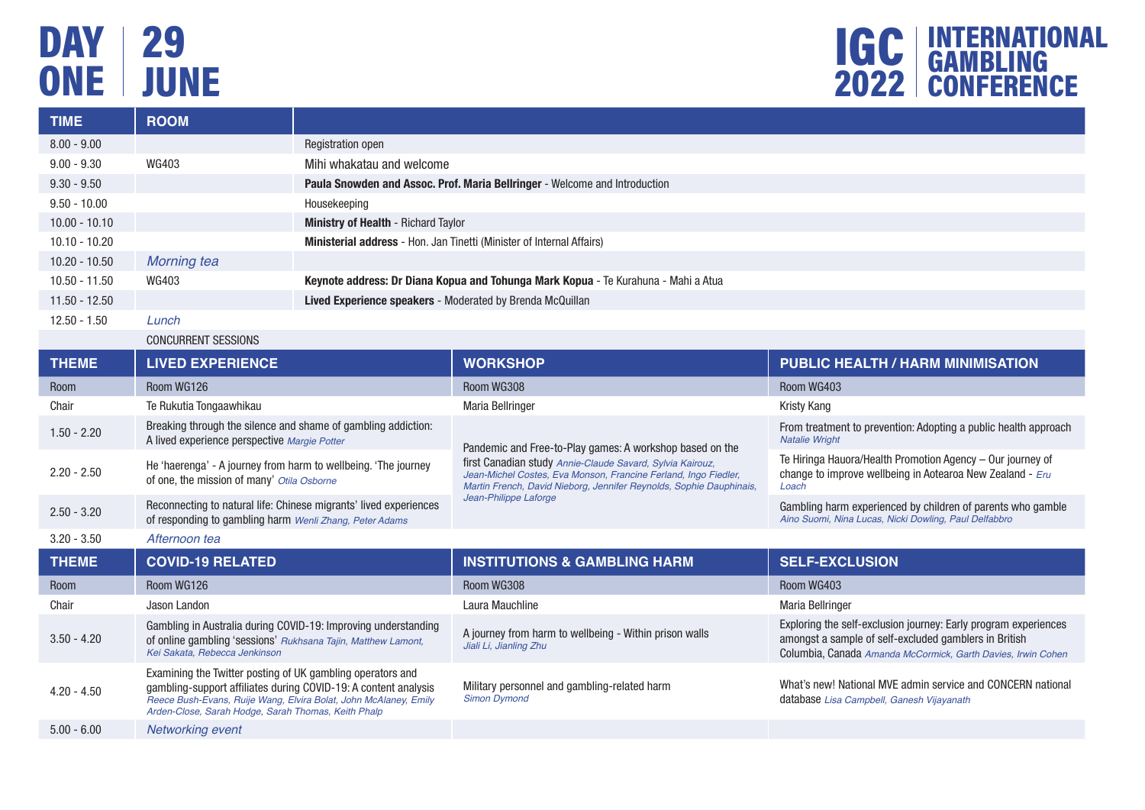# DAY | 29 ONE JUNE



| <b>TIME</b>     | <b>ROOM</b>  |                                                                                    |
|-----------------|--------------|------------------------------------------------------------------------------------|
| $8.00 - 9.00$   |              | Registration open                                                                  |
| $9.00 - 9.30$   | <b>WG403</b> | Mihi whakatau and welcome                                                          |
| $9.30 - 9.50$   |              | Paula Snowden and Assoc. Prof. Maria Bellringer - Welcome and Introduction         |
| $9.50 - 10.00$  |              | Housekeeping                                                                       |
| $10.00 - 10.10$ |              | <b>Ministry of Health - Richard Taylor</b>                                         |
| $10.10 - 10.20$ |              | <b>Ministerial address</b> - Hon. Jan Tinetti (Minister of Internal Affairs)       |
| $10.20 - 10.50$ | Morning tea  |                                                                                    |
| $10.50 - 11.50$ | WG403        | Keynote address: Dr Diana Kopua and Tohunga Mark Kopua - Te Kurahuna - Mahi a Atua |
| $11.50 - 12.50$ |              | Lived Experience speakers - Moderated by Brenda McQuillan                          |
| $12.50 - 1.50$  | Lunch        |                                                                                    |

#### CONCURRENT SESSIONS

| <b>THEME</b>  | <b>LIVED EXPERIENCE</b>                                                                                                                                                                                                                                  | <b>WORKSHOP</b>                                                                                                                                                                                     | <b>PUBLIC HEALTH / HARM MINIMISATION</b>                                                                                                                                                 |
|---------------|----------------------------------------------------------------------------------------------------------------------------------------------------------------------------------------------------------------------------------------------------------|-----------------------------------------------------------------------------------------------------------------------------------------------------------------------------------------------------|------------------------------------------------------------------------------------------------------------------------------------------------------------------------------------------|
| Room          | Room WG126                                                                                                                                                                                                                                               | Room WG308                                                                                                                                                                                          | Room WG403                                                                                                                                                                               |
| Chair         | Te Rukutia Tongaawhikau                                                                                                                                                                                                                                  | Maria Bellringer                                                                                                                                                                                    | Kristy Kang                                                                                                                                                                              |
| $1.50 - 2.20$ | Breaking through the silence and shame of gambling addiction:<br>A lived experience perspective Margie Potter                                                                                                                                            | Pandemic and Free-to-Play games: A workshop based on the                                                                                                                                            | From treatment to prevention: Adopting a public health approach<br><b>Natalie Wright</b>                                                                                                 |
| $2.20 - 2.50$ | He 'haerenga' - A journey from harm to wellbeing. 'The journey<br>of one, the mission of many' Otila Osborne                                                                                                                                             | first Canadian study Annie-Claude Savard, Sylvia Kairouz,<br>Jean-Michel Costes, Eva Monson, Francine Ferland, Ingo Fiedler,<br>Martin French, David Nieborg, Jennifer Reynolds, Sophie Dauphinais, | Te Hiringa Hauora/Health Promotion Agency - Our journey of<br>change to improve wellbeing in Aotearoa New Zealand - Eru<br>Loach                                                         |
| $2.50 - 3.20$ | Reconnecting to natural life: Chinese migrants' lived experiences<br>of responding to gambling harm Wenli Zhang, Peter Adams                                                                                                                             | Jean-Philippe Laforge                                                                                                                                                                               | Gambling harm experienced by children of parents who gamble<br>Aino Suomi, Nina Lucas, Nicki Dowling, Paul Delfabbro                                                                     |
| $3.20 - 3.50$ | Afternoon tea                                                                                                                                                                                                                                            |                                                                                                                                                                                                     |                                                                                                                                                                                          |
| <b>THEME</b>  | <b>COVID-19 RELATED</b>                                                                                                                                                                                                                                  | <b>INSTITUTIONS &amp; GAMBLING HARM</b>                                                                                                                                                             | <b>SELF-EXCLUSION</b>                                                                                                                                                                    |
|               |                                                                                                                                                                                                                                                          |                                                                                                                                                                                                     |                                                                                                                                                                                          |
| Room          | Room WG126                                                                                                                                                                                                                                               | Room WG308                                                                                                                                                                                          | Room WG403                                                                                                                                                                               |
| Chair         | Jason Landon                                                                                                                                                                                                                                             | Laura Mauchline                                                                                                                                                                                     | Maria Bellringer                                                                                                                                                                         |
| $3.50 - 4.20$ | Gambling in Australia during COVID-19: Improving understanding<br>of online gambling 'sessions' Rukhsana Tajin, Matthew Lamont,<br>Kei Sakata, Rebecca Jenkinson                                                                                         | A journey from harm to wellbeing - Within prison walls<br>Jiali Li, Jianling Zhu                                                                                                                    | Exploring the self-exclusion journey: Early program experiences<br>amongst a sample of self-excluded gamblers in British<br>Columbia, Canada Amanda McCormick, Garth Davies, Irwin Cohen |
| $4.20 - 4.50$ | Examining the Twitter posting of UK gambling operators and<br>gambling-support affiliates during COVID-19: A content analysis<br>Reece Bush-Evans, Ruije Wang, Elvira Bolat, John McAlaney, Emily<br>Arden-Close, Sarah Hodge, Sarah Thomas, Keith Phalp | Military personnel and gambling-related harm<br><b>Simon Dymond</b>                                                                                                                                 | What's new! National MVE admin service and CONCERN national<br>database Lisa Campbell, Ganesh Vijayanath                                                                                 |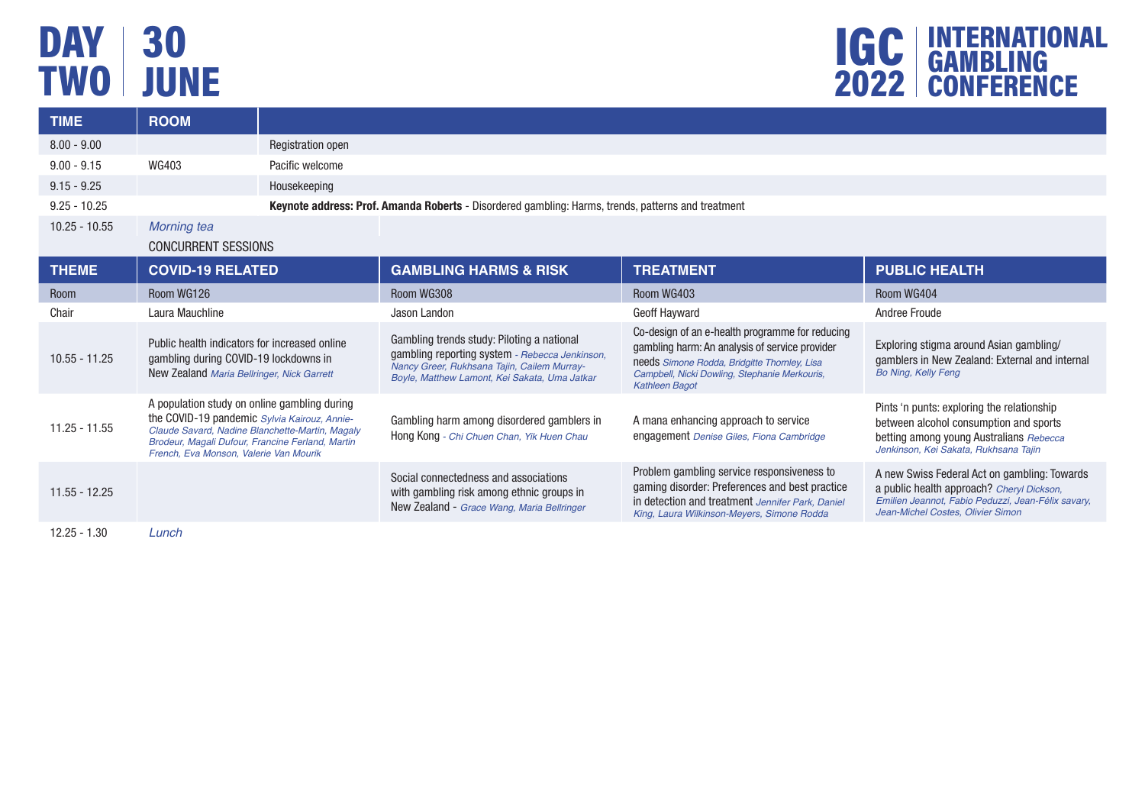# DAY | 30 TWO JUNE



| <b>TIME</b>     | <b>ROOM</b>                                                                                                                                                                                                                                   |                          |                                                                                                                                                                                              |                                                                                                                                                                                                                             |                                                                                                                                                                                      |
|-----------------|-----------------------------------------------------------------------------------------------------------------------------------------------------------------------------------------------------------------------------------------------|--------------------------|----------------------------------------------------------------------------------------------------------------------------------------------------------------------------------------------|-----------------------------------------------------------------------------------------------------------------------------------------------------------------------------------------------------------------------------|--------------------------------------------------------------------------------------------------------------------------------------------------------------------------------------|
| $8.00 - 9.00$   |                                                                                                                                                                                                                                               | <b>Registration open</b> |                                                                                                                                                                                              |                                                                                                                                                                                                                             |                                                                                                                                                                                      |
| $9.00 - 9.15$   | <b>WG403</b>                                                                                                                                                                                                                                  | Pacific welcome          |                                                                                                                                                                                              |                                                                                                                                                                                                                             |                                                                                                                                                                                      |
| $9.15 - 9.25$   |                                                                                                                                                                                                                                               | Housekeeping             |                                                                                                                                                                                              |                                                                                                                                                                                                                             |                                                                                                                                                                                      |
| $9.25 - 10.25$  |                                                                                                                                                                                                                                               |                          | Keynote address: Prof. Amanda Roberts - Disordered gambling: Harms, trends, patterns and treatment                                                                                           |                                                                                                                                                                                                                             |                                                                                                                                                                                      |
| $10.25 - 10.55$ | <b>Morning tea</b>                                                                                                                                                                                                                            |                          |                                                                                                                                                                                              |                                                                                                                                                                                                                             |                                                                                                                                                                                      |
|                 | <b>CONCURRENT SESSIONS</b>                                                                                                                                                                                                                    |                          |                                                                                                                                                                                              |                                                                                                                                                                                                                             |                                                                                                                                                                                      |
| <b>THEME</b>    | <b>COVID-19 RELATED</b>                                                                                                                                                                                                                       |                          | <b>GAMBLING HARMS &amp; RISK</b>                                                                                                                                                             | <b>TREATMENT</b>                                                                                                                                                                                                            | <b>PUBLIC HEALTH</b>                                                                                                                                                                 |
| Room            | Room WG126                                                                                                                                                                                                                                    |                          | Room WG308                                                                                                                                                                                   | Room WG403                                                                                                                                                                                                                  | Room WG404                                                                                                                                                                           |
| Chair           | Laura Mauchline                                                                                                                                                                                                                               |                          | Jason Landon                                                                                                                                                                                 | <b>Geoff Hayward</b>                                                                                                                                                                                                        | Andree Froude                                                                                                                                                                        |
| $10.55 - 11.25$ | Public health indicators for increased online<br>gambling during COVID-19 lockdowns in<br>New Zealand Maria Bellringer, Nick Garrett                                                                                                          |                          | Gambling trends study: Piloting a national<br>gambling reporting system - Rebecca Jenkinson,<br>Nancy Greer, Rukhsana Tajin, Cailem Murray-<br>Boyle, Matthew Lamont, Kei Sakata, Uma Jatkar | Co-design of an e-health programme for reducing<br>gambling harm: An analysis of service provider<br>needs Simone Rodda, Bridgitte Thornley, Lisa<br>Campbell, Nicki Dowling, Stephanie Merkouris,<br><b>Kathleen Bagot</b> | Exploring stigma around Asian gambling/<br>gamblers in New Zealand: External and internal<br><b>Bo Ning, Kelly Feng</b>                                                              |
| $11.25 - 11.55$ | A population study on online gambling during<br>the COVID-19 pandemic Sylvia Kairouz, Annie-<br>Claude Savard, Nadine Blanchette-Martin, Magaly<br>Brodeur, Magali Dufour, Francine Ferland, Martin<br>French, Eva Monson, Valerie Van Mourik |                          | Gambling harm among disordered gamblers in<br>Hong Kong - Chi Chuen Chan, Yik Huen Chau                                                                                                      | A mana enhancing approach to service<br>engagement Denise Giles, Fiona Cambridge                                                                                                                                            | Pints 'n punts: exploring the relationship<br>between alcohol consumption and sports<br>betting among young Australians Rebecca<br>Jenkinson, Kei Sakata, Rukhsana Tajin             |
| $11.55 - 12.25$ |                                                                                                                                                                                                                                               |                          | Social connectedness and associations<br>with gambling risk among ethnic groups in<br>New Zealand - Grace Wang, Maria Bellringer                                                             | Problem gambling service responsiveness to<br>gaming disorder: Preferences and best practice<br>in detection and treatment Jennifer Park. Daniel<br>King, Laura Wilkinson-Meyers, Simone Rodda                              | A new Swiss Federal Act on gambling: Towards<br>a public health approach? Cheryl Dickson,<br>Emilien Jeannot, Fabio Peduzzi, Jean-Félix savary,<br>Jean-Michel Costes, Olivier Simon |
| $12.25 - 1.30$  | Lunch                                                                                                                                                                                                                                         |                          |                                                                                                                                                                                              |                                                                                                                                                                                                                             |                                                                                                                                                                                      |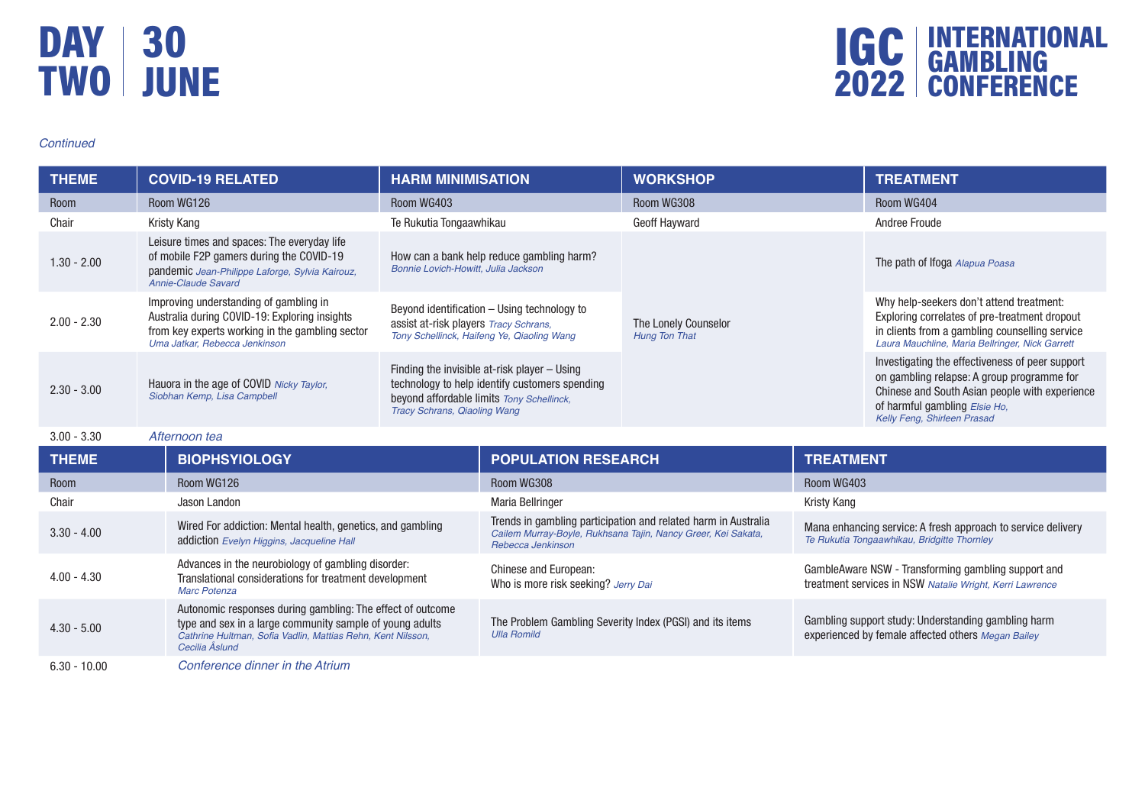# DAY | 30 TWO JUNE



#### *Continued*

| <b>THEME</b>  | <b>COVID-19 RELATED</b>                                                                                                                                                     | <b>HARM MINIMISATION</b>                                                                                                                                                           | <b>WORKSHOP</b>                       | <b>TREATMENT</b>                                                                                                                                                                                                |
|---------------|-----------------------------------------------------------------------------------------------------------------------------------------------------------------------------|------------------------------------------------------------------------------------------------------------------------------------------------------------------------------------|---------------------------------------|-----------------------------------------------------------------------------------------------------------------------------------------------------------------------------------------------------------------|
| Room          | Room WG126                                                                                                                                                                  | Room WG403                                                                                                                                                                         | Room WG308                            | Room WG404                                                                                                                                                                                                      |
| Chair         | Kristy Kang                                                                                                                                                                 | Te Rukutia Tongaawhikau                                                                                                                                                            | <b>Geoff Hayward</b>                  | Andree Froude                                                                                                                                                                                                   |
| $1.30 - 2.00$ | Leisure times and spaces: The everyday life<br>of mobile F2P gamers during the COVID-19<br>pandemic Jean-Philippe Laforge, Sylvia Kairouz,<br><b>Annie-Claude Savard</b>    | How can a bank help reduce gambling harm?<br>Bonnie Lovich-Howitt, Julia Jackson                                                                                                   |                                       | The path of Ifoga Alapua Poasa                                                                                                                                                                                  |
| $2.00 - 2.30$ | Improving understanding of gambling in<br>Australia during COVID-19: Exploring insights<br>from key experts working in the gambling sector<br>Uma Jatkar, Rebecca Jenkinson | Beyond identification - Using technology to<br>assist at-risk players Tracy Schrans.<br>Tony Schellinck, Haifeng Ye, Qiaoling Wang                                                 | The Lonely Counselor<br>Hung Ton That | Why help-seekers don't attend treatment:<br>Exploring correlates of pre-treatment dropout<br>in clients from a gambling counselling service<br>Laura Mauchline, Maria Bellringer, Nick Garrett                  |
| $2.30 - 3.00$ | Hauora in the age of COVID Nicky Taylor.<br>Siobhan Kemp, Lisa Campbell                                                                                                     | Finding the invisible at-risk player – Using<br>technology to help identify customers spending<br>beyond affordable limits Tony Schellinck,<br><b>Tracy Schrans, Qiaoling Wang</b> |                                       | Investigating the effectiveness of peer support<br>on gambling relapse: A group programme for<br>Chinese and South Asian people with experience<br>of harmful gambling Elsie Ho.<br>Kelly Feng, Shirleen Prasad |

#### 3.00 - 3.30 *Afternoon tea*

| <b>THEME</b>   | <b>BIOPHSYIOLOGY</b>                                                                                                                                                                                    | <b>POPULATION RESEARCH</b>                                                                                                                           | <b>TREATMENT</b>                                                                                                |
|----------------|---------------------------------------------------------------------------------------------------------------------------------------------------------------------------------------------------------|------------------------------------------------------------------------------------------------------------------------------------------------------|-----------------------------------------------------------------------------------------------------------------|
| Room           | Room WG126                                                                                                                                                                                              | Room WG308                                                                                                                                           | Room WG403                                                                                                      |
| Chair          | Jason Landon                                                                                                                                                                                            | Maria Bellringer                                                                                                                                     | Kristy Kang                                                                                                     |
| $3.30 - 4.00$  | Wired For addiction: Mental health, genetics, and gambling<br>addiction Evelyn Higgins, Jacqueline Hall                                                                                                 | Trends in gambling participation and related harm in Australia<br>Cailem Murray-Boyle, Rukhsana Tajin, Nancy Greer, Kei Sakata,<br>Rebecca Jenkinson | Mana enhancing service: A fresh approach to service delivery<br>Te Rukutia Tongaawhikau, Bridgitte Thornley     |
| $4.00 - 4.30$  | Advances in the neurobiology of gambling disorder:<br>Translational considerations for treatment development<br>Marc Potenza                                                                            | Chinese and European:<br>Who is more risk seeking? Jerry Dai                                                                                         | GambleAware NSW - Transforming gambling support and<br>treatment services in NSW Natalie Wright, Kerri Lawrence |
| $4.30 - 5.00$  | Autonomic responses during gambling: The effect of outcome<br>type and sex in a large community sample of young adults<br>Cathrine Hultman, Sofia Vadlin, Mattias Rehn, Kent Nilsson,<br>Cecilia Åslund | The Problem Gambling Severity Index (PGSI) and its items<br><b>Ulla Romild</b>                                                                       | Gambling support study: Understanding gambling harm<br>experienced by female affected others Megan Bailey       |
| $6.30 - 10.00$ | Conference dinner in the Atrium                                                                                                                                                                         |                                                                                                                                                      |                                                                                                                 |